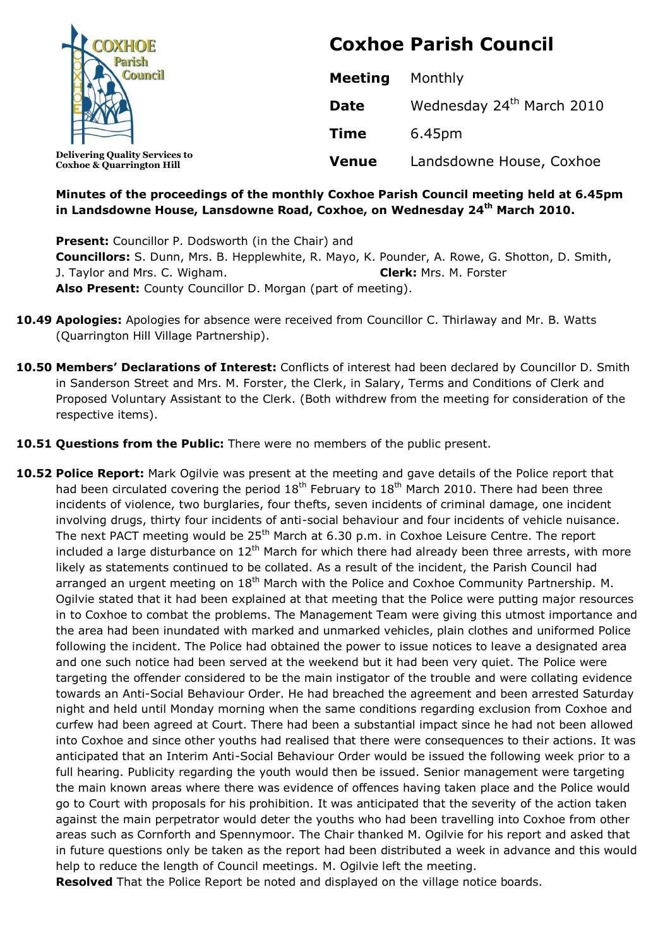| <b>COXHOE</b>                                                                 | <b>Coxhoe Parish Council</b> |                                       |  |
|-------------------------------------------------------------------------------|------------------------------|---------------------------------------|--|
|                                                                               | <b>Meeting</b>               | Monthly                               |  |
|                                                                               | <b>Date</b>                  | Wednesday 24 <sup>th</sup> March 2010 |  |
|                                                                               | <b>Time</b>                  | 6.45pm                                |  |
| <b>Delivering Quality Services to</b><br><b>Coxhoe &amp; Quarrington Hill</b> | <b>Venue</b>                 | Landsdowne House, Coxhoe              |  |

#### **Minutes of the proceedings of the monthly Coxhoe Parish Council meeting held at 6.45pm in Landsdowne House, Lansdowne Road, Coxhoe, on Wednesday 24 th March 2010.**

**Present:** Councillor P. Dodsworth (in the Chair) and **Councillors:** S. Dunn, Mrs. B. Hepplewhite, R. Mayo, K. Pounder, A. Rowe, G. Shotton, D. Smith, J. Taylor and Mrs. C. Wigham. **Clerk:** Mrs. M. Forster **Also Present:** County Councillor D. Morgan (part of meeting).

- **10.49 Apologies:** Apologies for absence were received from Councillor C. Thirlaway and Mr. B. Watts (Quarrington Hill Village Partnership).
- **10.50 Members' Declarations of Interest:** Conflicts of interest had been declared by Councillor D. Smith in Sanderson Street and Mrs. M. Forster, the Clerk, in Salary, Terms and Conditions of Clerk and Proposed Voluntary Assistant to the Clerk. (Both withdrew from the meeting for consideration of the respective items).
- **10.51 Questions from the Public:** There were no members of the public present.
- **10.52 Police Report:** Mark Ogilvie was present at the meeting and gave details of the Police report that had been circulated covering the period  $18<sup>th</sup>$  February to  $18<sup>th</sup>$  March 2010. There had been three incidents of violence, two burglaries, four thefts, seven incidents of criminal damage, one incident involving drugs, thirty four incidents of anti-social behaviour and four incidents of vehicle nuisance. The next PACT meeting would be 25<sup>th</sup> March at 6.30 p.m. in Coxhoe Leisure Centre. The report included a large disturbance on  $12<sup>th</sup>$  March for which there had already been three arrests, with more likely as statements continued to be collated. As a result of the incident, the Parish Council had arranged an urgent meeting on 18<sup>th</sup> March with the Police and Coxhoe Community Partnership. M. Ogilvie stated that it had been explained at that meeting that the Police were putting major resources in to Coxhoe to combat the problems. The Management Team were giving this utmost importance and the area had been inundated with marked and unmarked vehicles, plain clothes and uniformed Police following the incident. The Police had obtained the power to issue notices to leave a designated area and one such notice had been served at the weekend but it had been very quiet. The Police were targeting the offender considered to be the main instigator of the trouble and were collating evidence towards an Anti-Social Behaviour Order. He had breached the agreement and been arrested Saturday night and held until Monday morning when the same conditions regarding exclusion from Coxhoe and curfew had been agreed at Court. There had been a substantial impact since he had not been allowed into Coxhoe and since other youths had realised that there were consequences to their actions. It was anticipated that an Interim Anti-Social Behaviour Order would be issued the following week prior to a full hearing. Publicity regarding the youth would then be issued. Senior management were targeting the main known areas where there was evidence of offences having taken place and the Police would go to Court with proposals for his prohibition. It was anticipated that the severity of the action taken against the main perpetrator would deter the youths who had been travelling into Coxhoe from other areas such as Cornforth and Spennymoor. The Chair thanked M. Ogilvie for his report and asked that in future questions only be taken as the report had been distributed a week in advance and this would help to reduce the length of Council meetings. M. Ogilvie left the meeting.

**Resolved** That the Police Report be noted and displayed on the village notice boards.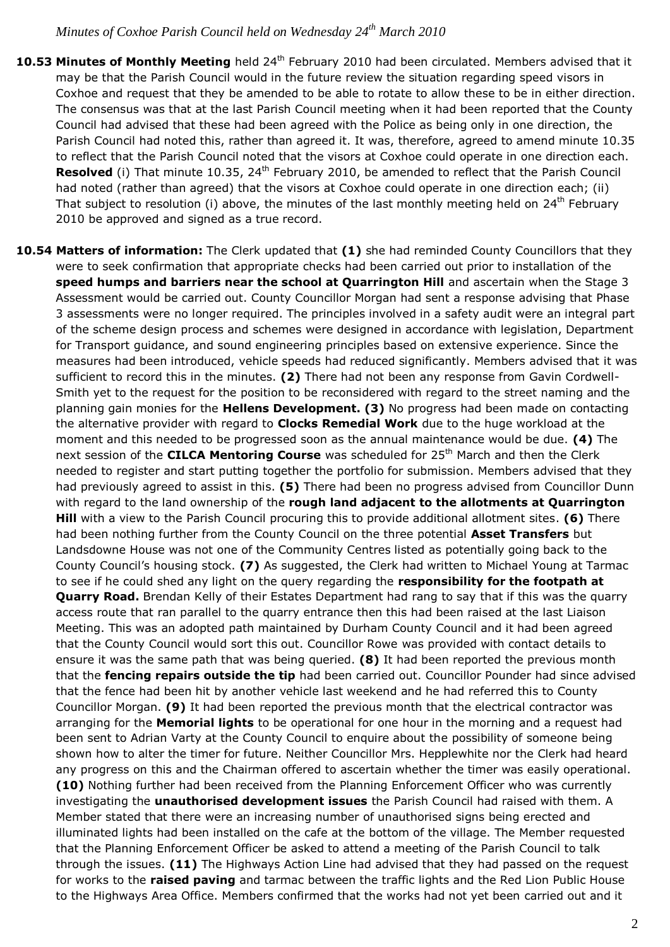- 10.53 Minutes of Monthly Meeting held 24<sup>th</sup> February 2010 had been circulated. Members advised that it may be that the Parish Council would in the future review the situation regarding speed visors in Coxhoe and request that they be amended to be able to rotate to allow these to be in either direction. The consensus was that at the last Parish Council meeting when it had been reported that the County Council had advised that these had been agreed with the Police as being only in one direction, the Parish Council had noted this, rather than agreed it. It was, therefore, agreed to amend minute 10.35 to reflect that the Parish Council noted that the visors at Coxhoe could operate in one direction each. Resolved (i) That minute 10.35, 24<sup>th</sup> February 2010, be amended to reflect that the Parish Council had noted (rather than agreed) that the visors at Coxhoe could operate in one direction each; (ii) That subject to resolution (i) above, the minutes of the last monthly meeting held on 24<sup>th</sup> February 2010 be approved and signed as a true record.
- **10.54 Matters of information:** The Clerk updated that **(1)** she had reminded County Councillors that they were to seek confirmation that appropriate checks had been carried out prior to installation of the **speed humps and barriers near the school at Quarrington Hill** and ascertain when the Stage 3 Assessment would be carried out. County Councillor Morgan had sent a response advising that Phase 3 assessments were no longer required. The principles involved in a safety audit were an integral part of the scheme design process and schemes were designed in accordance with legislation, Department for Transport guidance, and sound engineering principles based on extensive experience. Since the measures had been introduced, vehicle speeds had reduced significantly. Members advised that it was sufficient to record this in the minutes. **(2)** There had not been any response from Gavin Cordwell-Smith yet to the request for the position to be reconsidered with regard to the street naming and the planning gain monies for the **Hellens Development. (3)** No progress had been made on contacting the alternative provider with regard to **Clocks Remedial Work** due to the huge workload at the moment and this needed to be progressed soon as the annual maintenance would be due. **(4)** The next session of the **CILCA Mentoring Course** was scheduled for 25<sup>th</sup> March and then the Clerk needed to register and start putting together the portfolio for submission. Members advised that they had previously agreed to assist in this. **(5)** There had been no progress advised from Councillor Dunn with regard to the land ownership of the **rough land adjacent to the allotments at Quarrington Hill** with a view to the Parish Council procuring this to provide additional allotment sites. **(6)** There had been nothing further from the County Council on the three potential **Asset Transfers** but Landsdowne House was not one of the Community Centres listed as potentially going back to the County Council's housing stock. **(7)** As suggested, the Clerk had written to Michael Young at Tarmac to see if he could shed any light on the query regarding the **responsibility for the footpath at Quarry Road.** Brendan Kelly of their Estates Department had rang to say that if this was the quarry access route that ran parallel to the quarry entrance then this had been raised at the last Liaison Meeting. This was an adopted path maintained by Durham County Council and it had been agreed that the County Council would sort this out. Councillor Rowe was provided with contact details to ensure it was the same path that was being queried. **(8)** It had been reported the previous month that the **fencing repairs outside the tip** had been carried out. Councillor Pounder had since advised that the fence had been hit by another vehicle last weekend and he had referred this to County Councillor Morgan. **(9)** It had been reported the previous month that the electrical contractor was arranging for the **Memorial lights** to be operational for one hour in the morning and a request had been sent to Adrian Varty at the County Council to enquire about the possibility of someone being shown how to alter the timer for future. Neither Councillor Mrs. Hepplewhite nor the Clerk had heard any progress on this and the Chairman offered to ascertain whether the timer was easily operational. **(10)** Nothing further had been received from the Planning Enforcement Officer who was currently investigating the **unauthorised development issues** the Parish Council had raised with them. A Member stated that there were an increasing number of unauthorised signs being erected and illuminated lights had been installed on the cafe at the bottom of the village. The Member requested that the Planning Enforcement Officer be asked to attend a meeting of the Parish Council to talk through the issues. **(11)** The Highways Action Line had advised that they had passed on the request for works to the **raised paving** and tarmac between the traffic lights and the Red Lion Public House to the Highways Area Office. Members confirmed that the works had not yet been carried out and it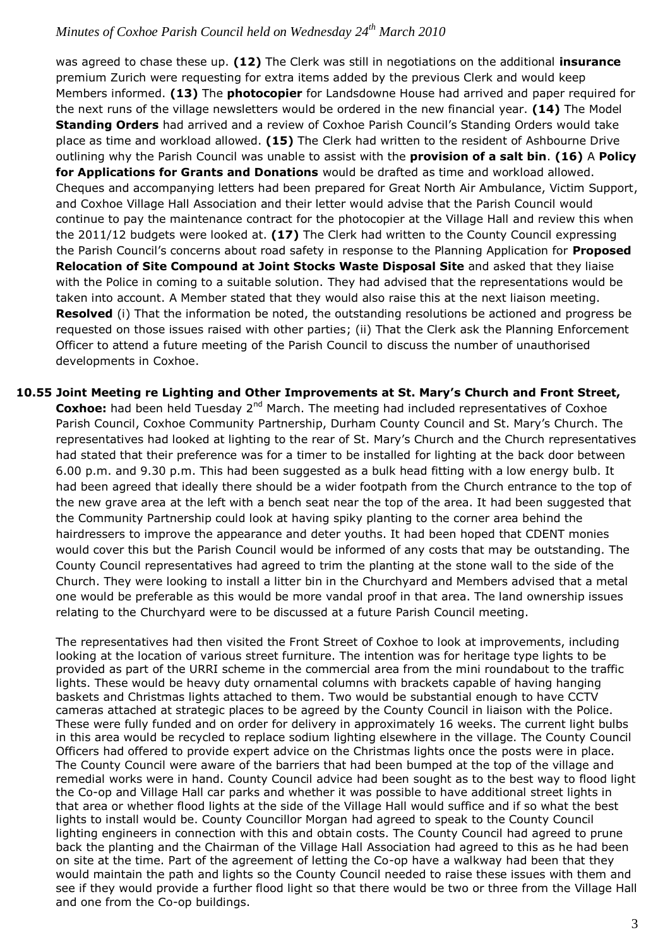was agreed to chase these up. **(12)** The Clerk was still in negotiations on the additional **insurance** premium Zurich were requesting for extra items added by the previous Clerk and would keep Members informed. **(13)** The **photocopier** for Landsdowne House had arrived and paper required for the next runs of the village newsletters would be ordered in the new financial year. **(14)** The Model **Standing Orders** had arrived and a review of Coxhoe Parish Council's Standing Orders would take place as time and workload allowed. **(15)** The Clerk had written to the resident of Ashbourne Drive outlining why the Parish Council was unable to assist with the **provision of a salt bin**. **(16)** A **Policy for Applications for Grants and Donations** would be drafted as time and workload allowed. Cheques and accompanying letters had been prepared for Great North Air Ambulance, Victim Support, and Coxhoe Village Hall Association and their letter would advise that the Parish Council would continue to pay the maintenance contract for the photocopier at the Village Hall and review this when the 2011/12 budgets were looked at. **(17)** The Clerk had written to the County Council expressing the Parish Council's concerns about road safety in response to the Planning Application for **Proposed Relocation of Site Compound at Joint Stocks Waste Disposal Site** and asked that they liaise with the Police in coming to a suitable solution. They had advised that the representations would be taken into account. A Member stated that they would also raise this at the next liaison meeting. **Resolved** (i) That the information be noted, the outstanding resolutions be actioned and progress be requested on those issues raised with other parties; (ii) That the Clerk ask the Planning Enforcement Officer to attend a future meeting of the Parish Council to discuss the number of unauthorised developments in Coxhoe.

**10.55 Joint Meeting re Lighting and Other Improvements at St. Mary's Church and Front Street, Coxhoe:** had been held Tuesday 2<sup>nd</sup> March. The meeting had included representatives of Coxhoe Parish Council, Coxhoe Community Partnership, Durham County Council and St. Mary's Church. The representatives had looked at lighting to the rear of St. Mary's Church and the Church representatives had stated that their preference was for a timer to be installed for lighting at the back door between 6.00 p.m. and 9.30 p.m. This had been suggested as a bulk head fitting with a low energy bulb. It had been agreed that ideally there should be a wider footpath from the Church entrance to the top of the new grave area at the left with a bench seat near the top of the area. It had been suggested that the Community Partnership could look at having spiky planting to the corner area behind the hairdressers to improve the appearance and deter youths. It had been hoped that CDENT monies would cover this but the Parish Council would be informed of any costs that may be outstanding. The County Council representatives had agreed to trim the planting at the stone wall to the side of the Church. They were looking to install a litter bin in the Churchyard and Members advised that a metal one would be preferable as this would be more vandal proof in that area. The land ownership issues relating to the Churchyard were to be discussed at a future Parish Council meeting.

The representatives had then visited the Front Street of Coxhoe to look at improvements, including looking at the location of various street furniture. The intention was for heritage type lights to be provided as part of the URRI scheme in the commercial area from the mini roundabout to the traffic lights. These would be heavy duty ornamental columns with brackets capable of having hanging baskets and Christmas lights attached to them. Two would be substantial enough to have CCTV cameras attached at strategic places to be agreed by the County Council in liaison with the Police. These were fully funded and on order for delivery in approximately 16 weeks. The current light bulbs in this area would be recycled to replace sodium lighting elsewhere in the village. The County Council Officers had offered to provide expert advice on the Christmas lights once the posts were in place. The County Council were aware of the barriers that had been bumped at the top of the village and remedial works were in hand. County Council advice had been sought as to the best way to flood light the Co-op and Village Hall car parks and whether it was possible to have additional street lights in that area or whether flood lights at the side of the Village Hall would suffice and if so what the best lights to install would be. County Councillor Morgan had agreed to speak to the County Council lighting engineers in connection with this and obtain costs. The County Council had agreed to prune back the planting and the Chairman of the Village Hall Association had agreed to this as he had been on site at the time. Part of the agreement of letting the Co-op have a walkway had been that they would maintain the path and lights so the County Council needed to raise these issues with them and see if they would provide a further flood light so that there would be two or three from the Village Hall and one from the Co-op buildings.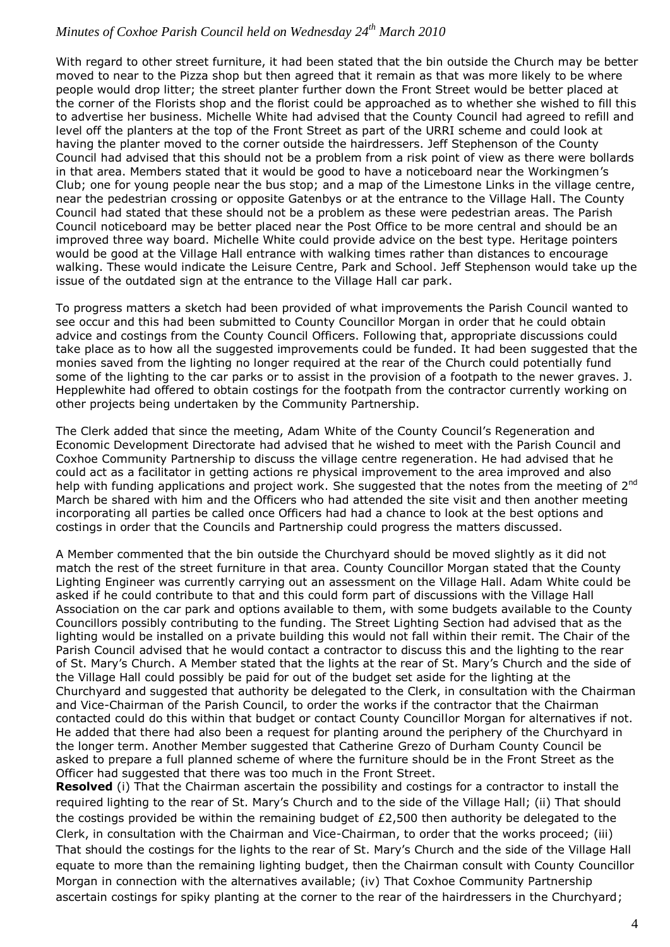With regard to other street furniture, it had been stated that the bin outside the Church may be better moved to near to the Pizza shop but then agreed that it remain as that was more likely to be where people would drop litter; the street planter further down the Front Street would be better placed at the corner of the Florists shop and the florist could be approached as to whether she wished to fill this to advertise her business. Michelle White had advised that the County Council had agreed to refill and level off the planters at the top of the Front Street as part of the URRI scheme and could look at having the planter moved to the corner outside the hairdressers. Jeff Stephenson of the County Council had advised that this should not be a problem from a risk point of view as there were bollards in that area. Members stated that it would be good to have a noticeboard near the Workingmen's Club; one for young people near the bus stop; and a map of the Limestone Links in the village centre, near the pedestrian crossing or opposite Gatenbys or at the entrance to the Village Hall. The County Council had stated that these should not be a problem as these were pedestrian areas. The Parish Council noticeboard may be better placed near the Post Office to be more central and should be an improved three way board. Michelle White could provide advice on the best type. Heritage pointers would be good at the Village Hall entrance with walking times rather than distances to encourage walking. These would indicate the Leisure Centre, Park and School. Jeff Stephenson would take up the issue of the outdated sign at the entrance to the Village Hall car park.

To progress matters a sketch had been provided of what improvements the Parish Council wanted to see occur and this had been submitted to County Councillor Morgan in order that he could obtain advice and costings from the County Council Officers. Following that, appropriate discussions could take place as to how all the suggested improvements could be funded. It had been suggested that the monies saved from the lighting no longer required at the rear of the Church could potentially fund some of the lighting to the car parks or to assist in the provision of a footpath to the newer graves. J. Hepplewhite had offered to obtain costings for the footpath from the contractor currently working on other projects being undertaken by the Community Partnership.

The Clerk added that since the meeting, Adam White of the County Council's Regeneration and Economic Development Directorate had advised that he wished to meet with the Parish Council and Coxhoe Community Partnership to discuss the village centre regeneration. He had advised that he could act as a facilitator in getting actions re physical improvement to the area improved and also help with funding applications and project work. She suggested that the notes from the meeting of 2<sup>nd</sup> March be shared with him and the Officers who had attended the site visit and then another meeting incorporating all parties be called once Officers had had a chance to look at the best options and costings in order that the Councils and Partnership could progress the matters discussed.

A Member commented that the bin outside the Churchyard should be moved slightly as it did not match the rest of the street furniture in that area. County Councillor Morgan stated that the County Lighting Engineer was currently carrying out an assessment on the Village Hall. Adam White could be asked if he could contribute to that and this could form part of discussions with the Village Hall Association on the car park and options available to them, with some budgets available to the County Councillors possibly contributing to the funding. The Street Lighting Section had advised that as the lighting would be installed on a private building this would not fall within their remit. The Chair of the Parish Council advised that he would contact a contractor to discuss this and the lighting to the rear of St. Mary's Church. A Member stated that the lights at the rear of St. Mary's Church and the side of the Village Hall could possibly be paid for out of the budget set aside for the lighting at the Churchyard and suggested that authority be delegated to the Clerk, in consultation with the Chairman and Vice-Chairman of the Parish Council, to order the works if the contractor that the Chairman contacted could do this within that budget or contact County Councillor Morgan for alternatives if not. He added that there had also been a request for planting around the periphery of the Churchyard in the longer term. Another Member suggested that Catherine Grezo of Durham County Council be asked to prepare a full planned scheme of where the furniture should be in the Front Street as the Officer had suggested that there was too much in the Front Street.

**Resolved** (i) That the Chairman ascertain the possibility and costings for a contractor to install the required lighting to the rear of St. Mary's Church and to the side of the Village Hall; (ii) That should the costings provided be within the remaining budget of £2,500 then authority be delegated to the Clerk, in consultation with the Chairman and Vice-Chairman, to order that the works proceed; (iii) That should the costings for the lights to the rear of St. Mary's Church and the side of the Village Hall equate to more than the remaining lighting budget, then the Chairman consult with County Councillor Morgan in connection with the alternatives available; (iv) That Coxhoe Community Partnership ascertain costings for spiky planting at the corner to the rear of the hairdressers in the Churchyard;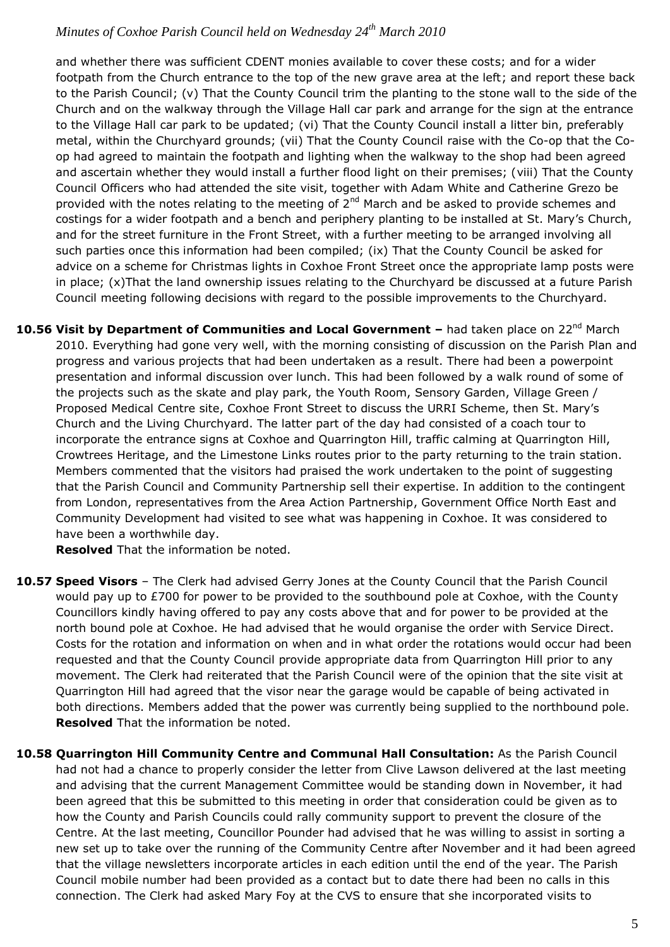and whether there was sufficient CDENT monies available to cover these costs; and for a wider footpath from the Church entrance to the top of the new grave area at the left; and report these back to the Parish Council; (v) That the County Council trim the planting to the stone wall to the side of the Church and on the walkway through the Village Hall car park and arrange for the sign at the entrance to the Village Hall car park to be updated; (vi) That the County Council install a litter bin, preferably metal, within the Churchyard grounds; (vii) That the County Council raise with the Co-op that the Coop had agreed to maintain the footpath and lighting when the walkway to the shop had been agreed and ascertain whether they would install a further flood light on their premises; (viii) That the County Council Officers who had attended the site visit, together with Adam White and Catherine Grezo be provided with the notes relating to the meeting of 2<sup>nd</sup> March and be asked to provide schemes and costings for a wider footpath and a bench and periphery planting to be installed at St. Mary's Church, and for the street furniture in the Front Street, with a further meeting to be arranged involving all such parties once this information had been compiled; (ix) That the County Council be asked for advice on a scheme for Christmas lights in Coxhoe Front Street once the appropriate lamp posts were in place; (x)That the land ownership issues relating to the Churchyard be discussed at a future Parish Council meeting following decisions with regard to the possible improvements to the Churchyard.

10.56 Visit by Department of Communities and Local Government – had taken place on 22<sup>nd</sup> March 2010. Everything had gone very well, with the morning consisting of discussion on the Parish Plan and progress and various projects that had been undertaken as a result. There had been a powerpoint presentation and informal discussion over lunch. This had been followed by a walk round of some of the projects such as the skate and play park, the Youth Room, Sensory Garden, Village Green / Proposed Medical Centre site, Coxhoe Front Street to discuss the URRI Scheme, then St. Mary's Church and the Living Churchyard. The latter part of the day had consisted of a coach tour to incorporate the entrance signs at Coxhoe and Quarrington Hill, traffic calming at Quarrington Hill, Crowtrees Heritage, and the Limestone Links routes prior to the party returning to the train station. Members commented that the visitors had praised the work undertaken to the point of suggesting that the Parish Council and Community Partnership sell their expertise. In addition to the contingent from London, representatives from the Area Action Partnership, Government Office North East and Community Development had visited to see what was happening in Coxhoe. It was considered to have been a worthwhile day.

**Resolved** That the information be noted.

- **10.57 Speed Visors** The Clerk had advised Gerry Jones at the County Council that the Parish Council would pay up to £700 for power to be provided to the southbound pole at Coxhoe, with the County Councillors kindly having offered to pay any costs above that and for power to be provided at the north bound pole at Coxhoe. He had advised that he would organise the order with Service Direct. Costs for the rotation and information on when and in what order the rotations would occur had been requested and that the County Council provide appropriate data from Quarrington Hill prior to any movement. The Clerk had reiterated that the Parish Council were of the opinion that the site visit at Quarrington Hill had agreed that the visor near the garage would be capable of being activated in both directions. Members added that the power was currently being supplied to the northbound pole. **Resolved** That the information be noted.
- **10.58 Quarrington Hill Community Centre and Communal Hall Consultation:** As the Parish Council had not had a chance to properly consider the letter from Clive Lawson delivered at the last meeting and advising that the current Management Committee would be standing down in November, it had been agreed that this be submitted to this meeting in order that consideration could be given as to how the County and Parish Councils could rally community support to prevent the closure of the Centre. At the last meeting, Councillor Pounder had advised that he was willing to assist in sorting a new set up to take over the running of the Community Centre after November and it had been agreed that the village newsletters incorporate articles in each edition until the end of the year. The Parish Council mobile number had been provided as a contact but to date there had been no calls in this connection. The Clerk had asked Mary Foy at the CVS to ensure that she incorporated visits to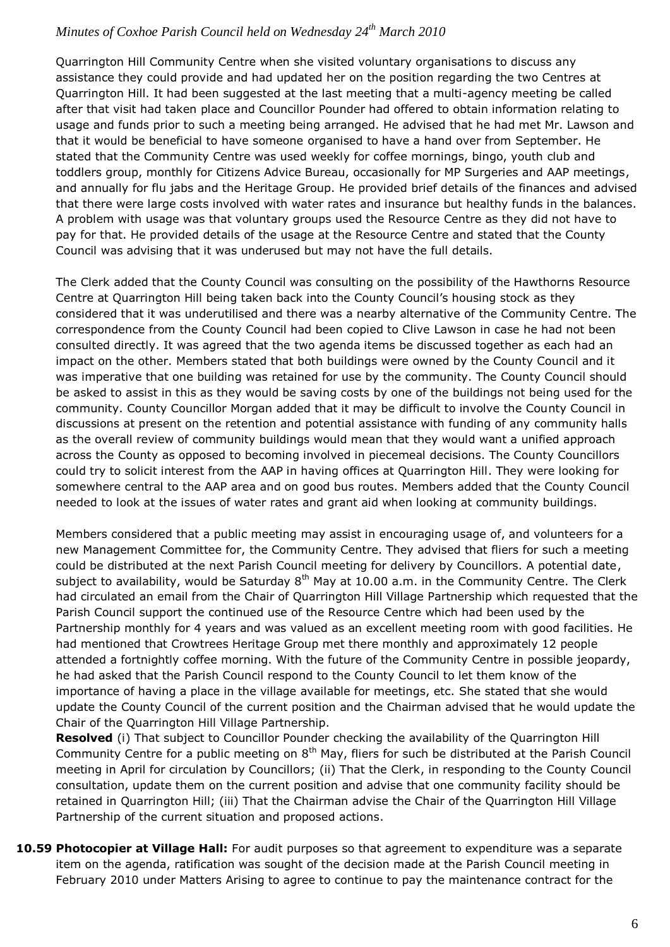Quarrington Hill Community Centre when she visited voluntary organisations to discuss any assistance they could provide and had updated her on the position regarding the two Centres at Quarrington Hill. It had been suggested at the last meeting that a multi-agency meeting be called after that visit had taken place and Councillor Pounder had offered to obtain information relating to usage and funds prior to such a meeting being arranged. He advised that he had met Mr. Lawson and that it would be beneficial to have someone organised to have a hand over from September. He stated that the Community Centre was used weekly for coffee mornings, bingo, youth club and toddlers group, monthly for Citizens Advice Bureau, occasionally for MP Surgeries and AAP meetings, and annually for flu jabs and the Heritage Group. He provided brief details of the finances and advised that there were large costs involved with water rates and insurance but healthy funds in the balances. A problem with usage was that voluntary groups used the Resource Centre as they did not have to pay for that. He provided details of the usage at the Resource Centre and stated that the County Council was advising that it was underused but may not have the full details.

The Clerk added that the County Council was consulting on the possibility of the Hawthorns Resource Centre at Quarrington Hill being taken back into the County Council's housing stock as they considered that it was underutilised and there was a nearby alternative of the Community Centre. The correspondence from the County Council had been copied to Clive Lawson in case he had not been consulted directly. It was agreed that the two agenda items be discussed together as each had an impact on the other. Members stated that both buildings were owned by the County Council and it was imperative that one building was retained for use by the community. The County Council should be asked to assist in this as they would be saving costs by one of the buildings not being used for the community. County Councillor Morgan added that it may be difficult to involve the County Council in discussions at present on the retention and potential assistance with funding of any community halls as the overall review of community buildings would mean that they would want a unified approach across the County as opposed to becoming involved in piecemeal decisions. The County Councillors could try to solicit interest from the AAP in having offices at Quarrington Hill. They were looking for somewhere central to the AAP area and on good bus routes. Members added that the County Council needed to look at the issues of water rates and grant aid when looking at community buildings.

Members considered that a public meeting may assist in encouraging usage of, and volunteers for a new Management Committee for, the Community Centre. They advised that fliers for such a meeting could be distributed at the next Parish Council meeting for delivery by Councillors. A potential date, subject to availability, would be Saturday  $8<sup>th</sup>$  May at 10.00 a.m. in the Community Centre. The Clerk had circulated an email from the Chair of Quarrington Hill Village Partnership which requested that the Parish Council support the continued use of the Resource Centre which had been used by the Partnership monthly for 4 years and was valued as an excellent meeting room with good facilities. He had mentioned that Crowtrees Heritage Group met there monthly and approximately 12 people attended a fortnightly coffee morning. With the future of the Community Centre in possible jeopardy, he had asked that the Parish Council respond to the County Council to let them know of the importance of having a place in the village available for meetings, etc. She stated that she would update the County Council of the current position and the Chairman advised that he would update the Chair of the Quarrington Hill Village Partnership.

**Resolved** (i) That subject to Councillor Pounder checking the availability of the Quarrington Hill Community Centre for a public meeting on  $8<sup>th</sup>$  May, fliers for such be distributed at the Parish Council meeting in April for circulation by Councillors; (ii) That the Clerk, in responding to the County Council consultation, update them on the current position and advise that one community facility should be retained in Quarrington Hill; (iii) That the Chairman advise the Chair of the Quarrington Hill Village Partnership of the current situation and proposed actions.

**10.59 Photocopier at Village Hall:** For audit purposes so that agreement to expenditure was a separate item on the agenda, ratification was sought of the decision made at the Parish Council meeting in February 2010 under Matters Arising to agree to continue to pay the maintenance contract for the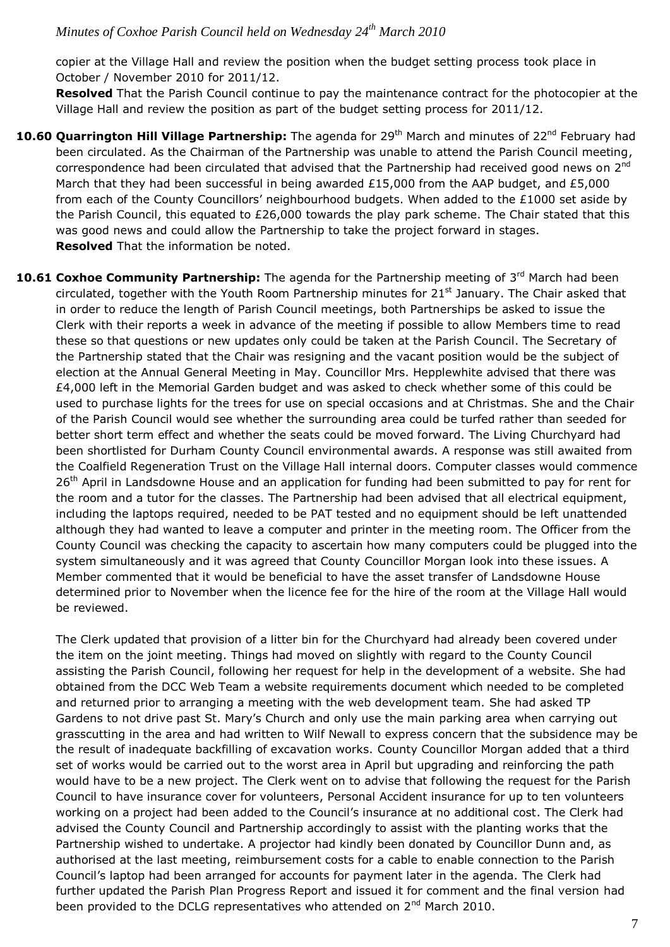copier at the Village Hall and review the position when the budget setting process took place in October / November 2010 for 2011/12.

**Resolved** That the Parish Council continue to pay the maintenance contract for the photocopier at the Village Hall and review the position as part of the budget setting process for 2011/12.

- **10.60 Quarrington Hill Village Partnership:** The agenda for 29<sup>th</sup> March and minutes of 22<sup>nd</sup> February had been circulated. As the Chairman of the Partnership was unable to attend the Parish Council meeting, correspondence had been circulated that advised that the Partnership had received good news on 2<sup>nd</sup> March that they had been successful in being awarded £15,000 from the AAP budget, and £5,000 from each of the County Councillors' neighbourhood budgets. When added to the £1000 set aside by the Parish Council, this equated to £26,000 towards the play park scheme. The Chair stated that this was good news and could allow the Partnership to take the project forward in stages. **Resolved** That the information be noted.
- 10.61 Coxhoe Community Partnership: The agenda for the Partnership meeting of 3<sup>rd</sup> March had been circulated, together with the Youth Room Partnership minutes for 21<sup>st</sup> January. The Chair asked that in order to reduce the length of Parish Council meetings, both Partnerships be asked to issue the Clerk with their reports a week in advance of the meeting if possible to allow Members time to read these so that questions or new updates only could be taken at the Parish Council. The Secretary of the Partnership stated that the Chair was resigning and the vacant position would be the subject of election at the Annual General Meeting in May. Councillor Mrs. Hepplewhite advised that there was £4,000 left in the Memorial Garden budget and was asked to check whether some of this could be used to purchase lights for the trees for use on special occasions and at Christmas. She and the Chair of the Parish Council would see whether the surrounding area could be turfed rather than seeded for better short term effect and whether the seats could be moved forward. The Living Churchyard had been shortlisted for Durham County Council environmental awards. A response was still awaited from the Coalfield Regeneration Trust on the Village Hall internal doors. Computer classes would commence 26<sup>th</sup> April in Landsdowne House and an application for funding had been submitted to pay for rent for the room and a tutor for the classes. The Partnership had been advised that all electrical equipment, including the laptops required, needed to be PAT tested and no equipment should be left unattended although they had wanted to leave a computer and printer in the meeting room. The Officer from the County Council was checking the capacity to ascertain how many computers could be plugged into the system simultaneously and it was agreed that County Councillor Morgan look into these issues. A Member commented that it would be beneficial to have the asset transfer of Landsdowne House determined prior to November when the licence fee for the hire of the room at the Village Hall would be reviewed.

The Clerk updated that provision of a litter bin for the Churchyard had already been covered under the item on the joint meeting. Things had moved on slightly with regard to the County Council assisting the Parish Council, following her request for help in the development of a website. She had obtained from the DCC Web Team a website requirements document which needed to be completed and returned prior to arranging a meeting with the web development team. She had asked TP Gardens to not drive past St. Mary's Church and only use the main parking area when carrying out grasscutting in the area and had written to Wilf Newall to express concern that the subsidence may be the result of inadequate backfilling of excavation works. County Councillor Morgan added that a third set of works would be carried out to the worst area in April but upgrading and reinforcing the path would have to be a new project. The Clerk went on to advise that following the request for the Parish Council to have insurance cover for volunteers, Personal Accident insurance for up to ten volunteers working on a project had been added to the Council's insurance at no additional cost. The Clerk had advised the County Council and Partnership accordingly to assist with the planting works that the Partnership wished to undertake. A projector had kindly been donated by Councillor Dunn and, as authorised at the last meeting, reimbursement costs for a cable to enable connection to the Parish Council's laptop had been arranged for accounts for payment later in the agenda. The Clerk had further updated the Parish Plan Progress Report and issued it for comment and the final version had been provided to the DCLG representatives who attended on  $2^{nd}$  March 2010.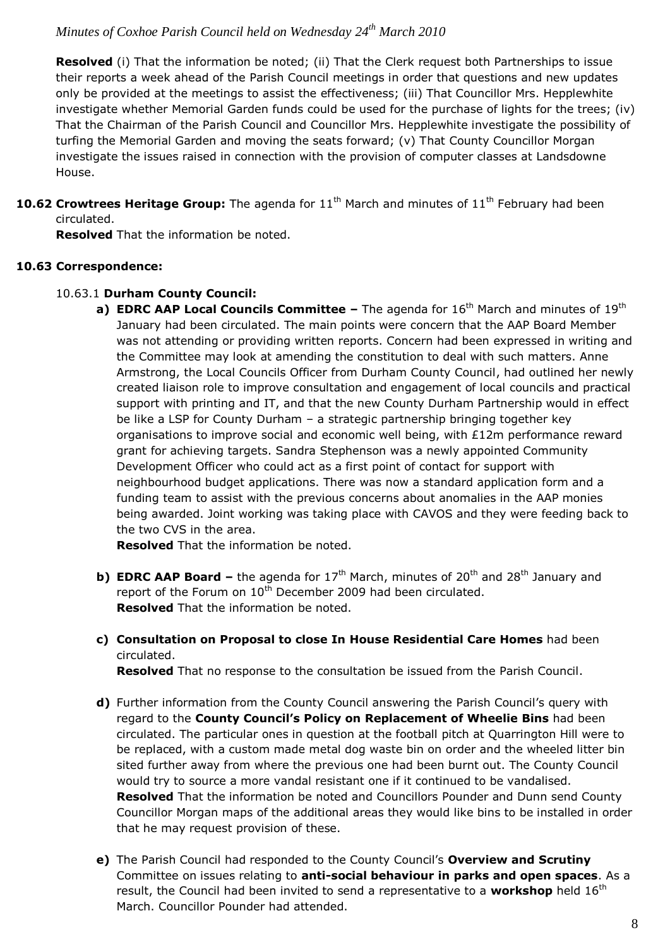**Resolved** (i) That the information be noted; (ii) That the Clerk request both Partnerships to issue their reports a week ahead of the Parish Council meetings in order that questions and new updates only be provided at the meetings to assist the effectiveness; (iii) That Councillor Mrs. Hepplewhite investigate whether Memorial Garden funds could be used for the purchase of lights for the trees; (iv) That the Chairman of the Parish Council and Councillor Mrs. Hepplewhite investigate the possibility of turfing the Memorial Garden and moving the seats forward; (v) That County Councillor Morgan investigate the issues raised in connection with the provision of computer classes at Landsdowne House.

**10.62 Crowtrees Heritage Group:** The agenda for 11<sup>th</sup> March and minutes of 11<sup>th</sup> February had been circulated.

**Resolved** That the information be noted.

#### **10.63 Correspondence:**

#### 10.63.1 **Durham County Council:**

**a) EDRC AAP Local Councils Committee –** The agenda for 16<sup>th</sup> March and minutes of 19<sup>th</sup> January had been circulated. The main points were concern that the AAP Board Member was not attending or providing written reports. Concern had been expressed in writing and the Committee may look at amending the constitution to deal with such matters. Anne Armstrong, the Local Councils Officer from Durham County Council, had outlined her newly created liaison role to improve consultation and engagement of local councils and practical support with printing and IT, and that the new County Durham Partnership would in effect be like a LSP for County Durham – a strategic partnership bringing together key organisations to improve social and economic well being, with £12m performance reward grant for achieving targets. Sandra Stephenson was a newly appointed Community Development Officer who could act as a first point of contact for support with neighbourhood budget applications. There was now a standard application form and a funding team to assist with the previous concerns about anomalies in the AAP monies being awarded. Joint working was taking place with CAVOS and they were feeding back to the two CVS in the area.

**Resolved** That the information be noted.

- **b) EDRC AAP Board –** the agenda for  $17<sup>th</sup>$  March, minutes of  $20<sup>th</sup>$  and  $28<sup>th</sup>$  January and report of the Forum on 10<sup>th</sup> December 2009 had been circulated. **Resolved** That the information be noted.
- **c) Consultation on Proposal to close In House Residential Care Homes** had been circulated.

**Resolved** That no response to the consultation be issued from the Parish Council.

- **d)** Further information from the County Council answering the Parish Council's query with regard to the **County Council's Policy on Replacement of Wheelie Bins** had been circulated. The particular ones in question at the football pitch at Quarrington Hill were to be replaced, with a custom made metal dog waste bin on order and the wheeled litter bin sited further away from where the previous one had been burnt out. The County Council would try to source a more vandal resistant one if it continued to be vandalised. **Resolved** That the information be noted and Councillors Pounder and Dunn send County Councillor Morgan maps of the additional areas they would like bins to be installed in order that he may request provision of these.
- **e)** The Parish Council had responded to the County Council's **Overview and Scrutiny** Committee on issues relating to **anti-social behaviour in parks and open spaces**. As a result, the Council had been invited to send a representative to a workshop held 16<sup>th</sup> March. Councillor Pounder had attended.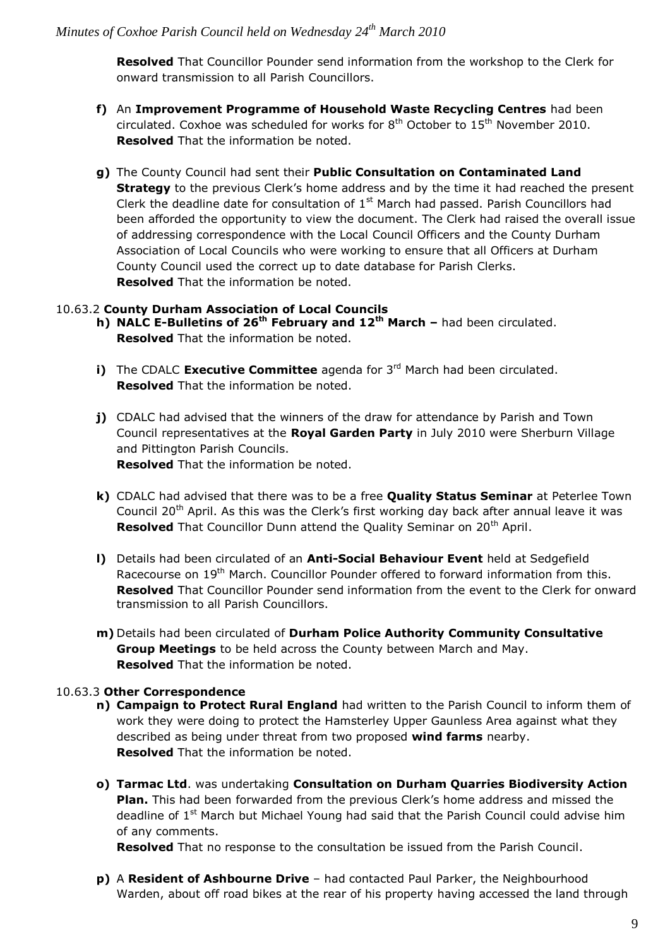**Resolved** That Councillor Pounder send information from the workshop to the Clerk for onward transmission to all Parish Councillors.

- **f)** An **Improvement Programme of Household Waste Recycling Centres** had been circulated. Coxhoe was scheduled for works for  $8<sup>th</sup>$  October to  $15<sup>th</sup>$  November 2010. **Resolved** That the information be noted.
- **g)** The County Council had sent their **Public Consultation on Contaminated Land Strategy** to the previous Clerk's home address and by the time it had reached the present Clerk the deadline date for consultation of  $1<sup>st</sup>$  March had passed. Parish Councillors had been afforded the opportunity to view the document. The Clerk had raised the overall issue of addressing correspondence with the Local Council Officers and the County Durham Association of Local Councils who were working to ensure that all Officers at Durham County Council used the correct up to date database for Parish Clerks. **Resolved** That the information be noted.

#### 10.63.2 **County Durham Association of Local Councils**

- **h) NALC E-Bulletins of 26th February and 12th March –** had been circulated. **Resolved** That the information be noted.
- **i)** The CDALC **Executive Committee** agenda for 3<sup>rd</sup> March had been circulated. **Resolved** That the information be noted.
- **j)** CDALC had advised that the winners of the draw for attendance by Parish and Town Council representatives at the **Royal Garden Party** in July 2010 were Sherburn Village and Pittington Parish Councils. **Resolved** That the information be noted.
- **k)** CDALC had advised that there was to be a free **Quality Status Seminar** at Peterlee Town Council 20<sup>th</sup> April. As this was the Clerk's first working day back after annual leave it was **Resolved** That Councillor Dunn attend the Quality Seminar on 20<sup>th</sup> April.
- **l)** Details had been circulated of an **Anti-Social Behaviour Event** held at Sedgefield Racecourse on 19<sup>th</sup> March. Councillor Pounder offered to forward information from this. **Resolved** That Councillor Pounder send information from the event to the Clerk for onward transmission to all Parish Councillors.
- **m)** Details had been circulated of **Durham Police Authority Community Consultative Group Meetings** to be held across the County between March and May. **Resolved** That the information be noted.

## 10.63.3 **Other Correspondence**

- **n) Campaign to Protect Rural England** had written to the Parish Council to inform them of work they were doing to protect the Hamsterley Upper Gaunless Area against what they described as being under threat from two proposed **wind farms** nearby. **Resolved** That the information be noted.
- **o) Tarmac Ltd**. was undertaking **Consultation on Durham Quarries Biodiversity Action Plan.** This had been forwarded from the previous Clerk's home address and missed the deadline of 1<sup>st</sup> March but Michael Young had said that the Parish Council could advise him of any comments.

**Resolved** That no response to the consultation be issued from the Parish Council.

**p)** A **Resident of Ashbourne Drive** – had contacted Paul Parker, the Neighbourhood Warden, about off road bikes at the rear of his property having accessed the land through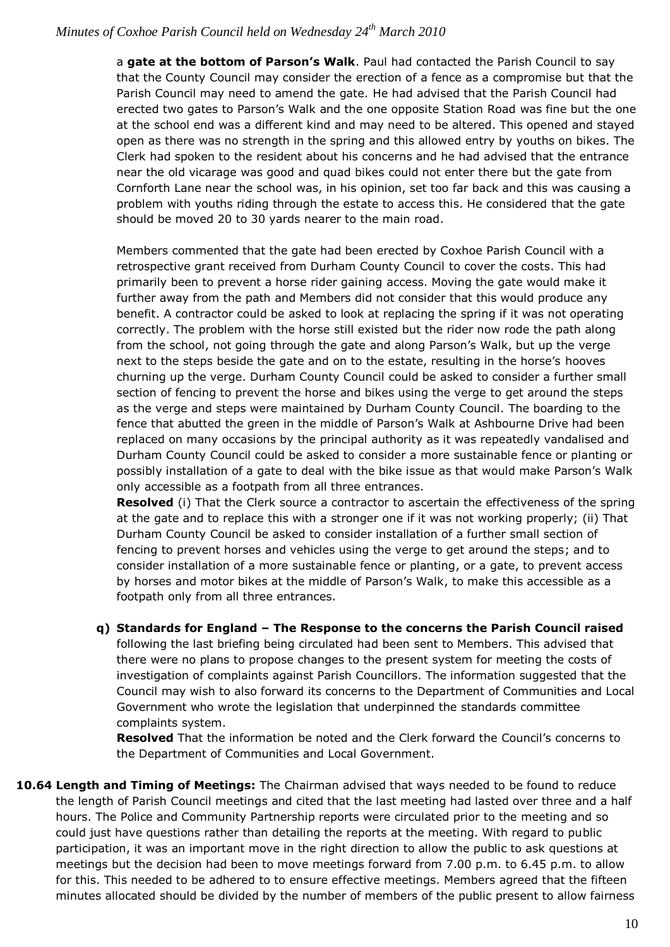a **gate at the bottom of Parson's Walk**. Paul had contacted the Parish Council to say that the County Council may consider the erection of a fence as a compromise but that the Parish Council may need to amend the gate. He had advised that the Parish Council had erected two gates to Parson's Walk and the one opposite Station Road was fine but the one at the school end was a different kind and may need to be altered. This opened and stayed open as there was no strength in the spring and this allowed entry by youths on bikes. The Clerk had spoken to the resident about his concerns and he had advised that the entrance near the old vicarage was good and quad bikes could not enter there but the gate from Cornforth Lane near the school was, in his opinion, set too far back and this was causing a problem with youths riding through the estate to access this. He considered that the gate should be moved 20 to 30 yards nearer to the main road.

Members commented that the gate had been erected by Coxhoe Parish Council with a retrospective grant received from Durham County Council to cover the costs. This had primarily been to prevent a horse rider gaining access. Moving the gate would make it further away from the path and Members did not consider that this would produce any benefit. A contractor could be asked to look at replacing the spring if it was not operating correctly. The problem with the horse still existed but the rider now rode the path along from the school, not going through the gate and along Parson's Walk, but up the verge next to the steps beside the gate and on to the estate, resulting in the horse's hooves churning up the verge. Durham County Council could be asked to consider a further small section of fencing to prevent the horse and bikes using the verge to get around the steps as the verge and steps were maintained by Durham County Council. The boarding to the fence that abutted the green in the middle of Parson's Walk at Ashbourne Drive had been replaced on many occasions by the principal authority as it was repeatedly vandalised and Durham County Council could be asked to consider a more sustainable fence or planting or possibly installation of a gate to deal with the bike issue as that would make Parson's Walk only accessible as a footpath from all three entrances.

**Resolved** (i) That the Clerk source a contractor to ascertain the effectiveness of the spring at the gate and to replace this with a stronger one if it was not working properly; (ii) That Durham County Council be asked to consider installation of a further small section of fencing to prevent horses and vehicles using the verge to get around the steps; and to consider installation of a more sustainable fence or planting, or a gate, to prevent access by horses and motor bikes at the middle of Parson's Walk, to make this accessible as a footpath only from all three entrances.

**q) Standards for England – The Response to the concerns the Parish Council raised** following the last briefing being circulated had been sent to Members. This advised that there were no plans to propose changes to the present system for meeting the costs of investigation of complaints against Parish Councillors. The information suggested that the Council may wish to also forward its concerns to the Department of Communities and Local Government who wrote the legislation that underpinned the standards committee complaints system.

**Resolved** That the information be noted and the Clerk forward the Council's concerns to the Department of Communities and Local Government.

**10.64 Length and Timing of Meetings:** The Chairman advised that ways needed to be found to reduce the length of Parish Council meetings and cited that the last meeting had lasted over three and a half hours. The Police and Community Partnership reports were circulated prior to the meeting and so could just have questions rather than detailing the reports at the meeting. With regard to public participation, it was an important move in the right direction to allow the public to ask questions at meetings but the decision had been to move meetings forward from 7.00 p.m. to 6.45 p.m. to allow for this. This needed to be adhered to to ensure effective meetings. Members agreed that the fifteen minutes allocated should be divided by the number of members of the public present to allow fairness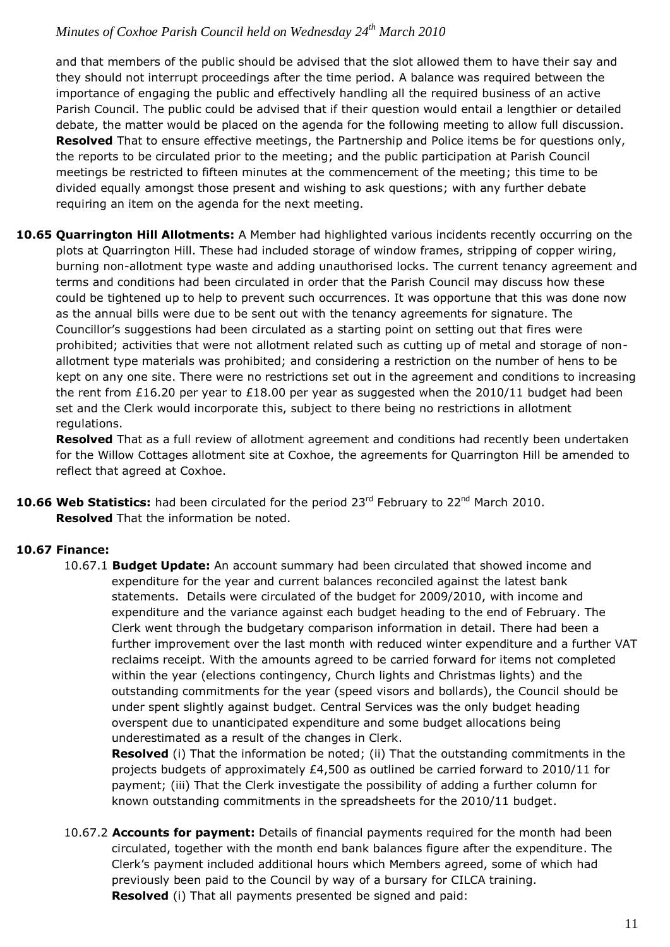and that members of the public should be advised that the slot allowed them to have their say and they should not interrupt proceedings after the time period. A balance was required between the importance of engaging the public and effectively handling all the required business of an active Parish Council. The public could be advised that if their question would entail a lengthier or detailed debate, the matter would be placed on the agenda for the following meeting to allow full discussion. **Resolved** That to ensure effective meetings, the Partnership and Police items be for questions only, the reports to be circulated prior to the meeting; and the public participation at Parish Council meetings be restricted to fifteen minutes at the commencement of the meeting; this time to be divided equally amongst those present and wishing to ask questions; with any further debate requiring an item on the agenda for the next meeting.

**10.65 Quarrington Hill Allotments:** A Member had highlighted various incidents recently occurring on the plots at Quarrington Hill. These had included storage of window frames, stripping of copper wiring, burning non-allotment type waste and adding unauthorised locks. The current tenancy agreement and terms and conditions had been circulated in order that the Parish Council may discuss how these could be tightened up to help to prevent such occurrences. It was opportune that this was done now as the annual bills were due to be sent out with the tenancy agreements for signature. The Councillor's suggestions had been circulated as a starting point on setting out that fires were prohibited; activities that were not allotment related such as cutting up of metal and storage of nonallotment type materials was prohibited; and considering a restriction on the number of hens to be kept on any one site. There were no restrictions set out in the agreement and conditions to increasing the rent from £16.20 per year to £18.00 per year as suggested when the 2010/11 budget had been set and the Clerk would incorporate this, subject to there being no restrictions in allotment regulations.

**Resolved** That as a full review of allotment agreement and conditions had recently been undertaken for the Willow Cottages allotment site at Coxhoe, the agreements for Quarrington Hill be amended to reflect that agreed at Coxhoe.

10.66 Web Statistics: had been circulated for the period 23<sup>rd</sup> February to 22<sup>nd</sup> March 2010. **Resolved** That the information be noted.

## **10.67 Finance:**

10.67.1 **Budget Update:** An account summary had been circulated that showed income and expenditure for the year and current balances reconciled against the latest bank statements. Details were circulated of the budget for 2009/2010, with income and expenditure and the variance against each budget heading to the end of February. The Clerk went through the budgetary comparison information in detail. There had been a further improvement over the last month with reduced winter expenditure and a further VAT reclaims receipt. With the amounts agreed to be carried forward for items not completed within the year (elections contingency, Church lights and Christmas lights) and the outstanding commitments for the year (speed visors and bollards), the Council should be under spent slightly against budget. Central Services was the only budget heading overspent due to unanticipated expenditure and some budget allocations being underestimated as a result of the changes in Clerk.

 **Resolved** (i) That the information be noted; (ii) That the outstanding commitments in the projects budgets of approximately £4,500 as outlined be carried forward to 2010/11 for payment; (iii) That the Clerk investigate the possibility of adding a further column for known outstanding commitments in the spreadsheets for the 2010/11 budget.

10.67.2 **Accounts for payment:** Details of financial payments required for the month had been circulated, together with the month end bank balances figure after the expenditure. The Clerk's payment included additional hours which Members agreed, some of which had previously been paid to the Council by way of a bursary for CILCA training. **Resolved** (i) That all payments presented be signed and paid: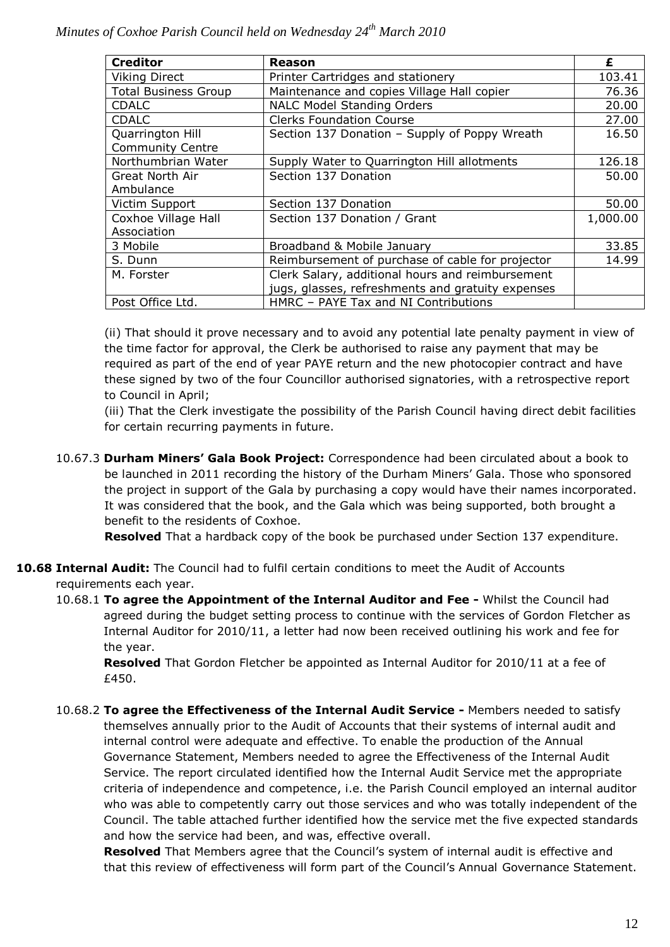| <b>Creditor</b>             | Reason                                            | £        |
|-----------------------------|---------------------------------------------------|----------|
| <b>Viking Direct</b>        | Printer Cartridges and stationery                 | 103.41   |
| <b>Total Business Group</b> | Maintenance and copies Village Hall copier        | 76.36    |
| <b>CDALC</b>                | <b>NALC Model Standing Orders</b>                 | 20.00    |
| <b>CDALC</b>                | <b>Clerks Foundation Course</b>                   | 27.00    |
| Quarrington Hill            | Section 137 Donation - Supply of Poppy Wreath     | 16.50    |
| <b>Community Centre</b>     |                                                   |          |
| Northumbrian Water          | Supply Water to Quarrington Hill allotments       | 126.18   |
| Great North Air             | Section 137 Donation                              | 50.00    |
| Ambulance                   |                                                   |          |
| Victim Support              | Section 137 Donation                              | 50.00    |
| Coxhoe Village Hall         | Section 137 Donation / Grant                      | 1,000.00 |
| Association                 |                                                   |          |
| 3 Mobile                    | Broadband & Mobile January                        | 33.85    |
| S. Dunn                     | Reimbursement of purchase of cable for projector  | 14.99    |
| M. Forster                  | Clerk Salary, additional hours and reimbursement  |          |
|                             | jugs, glasses, refreshments and gratuity expenses |          |
| Post Office Ltd.            | HMRC - PAYE Tax and NI Contributions              |          |

(ii) That should it prove necessary and to avoid any potential late penalty payment in view of the time factor for approval, the Clerk be authorised to raise any payment that may be required as part of the end of year PAYE return and the new photocopier contract and have these signed by two of the four Councillor authorised signatories, with a retrospective report to Council in April;

(iii) That the Clerk investigate the possibility of the Parish Council having direct debit facilities for certain recurring payments in future.

10.67.3 **Durham Miners' Gala Book Project:** Correspondence had been circulated about a book to be launched in 2011 recording the history of the Durham Miners' Gala. Those who sponsored the project in support of the Gala by purchasing a copy would have their names incorporated. It was considered that the book, and the Gala which was being supported, both brought a benefit to the residents of Coxhoe.

**Resolved** That a hardback copy of the book be purchased under Section 137 expenditure.

**10.68 Internal Audit:** The Council had to fulfil certain conditions to meet the Audit of Accounts requirements each year.

10.68.1 **To agree the Appointment of the Internal Auditor and Fee -** Whilst the Council had agreed during the budget setting process to continue with the services of Gordon Fletcher as Internal Auditor for 2010/11, a letter had now been received outlining his work and fee for the year.

**Resolved** That Gordon Fletcher be appointed as Internal Auditor for 2010/11 at a fee of £450.

10.68.2 **To agree the Effectiveness of the Internal Audit Service -** Members needed to satisfy themselves annually prior to the Audit of Accounts that their systems of internal audit and internal control were adequate and effective. To enable the production of the Annual Governance Statement, Members needed to agree the Effectiveness of the Internal Audit Service. The report circulated identified how the Internal Audit Service met the appropriate criteria of independence and competence, i.e. the Parish Council employed an internal auditor who was able to competently carry out those services and who was totally independent of the Council. The table attached further identified how the service met the five expected standards and how the service had been, and was, effective overall.

**Resolved** That Members agree that the Council's system of internal audit is effective and that this review of effectiveness will form part of the Council's Annual Governance Statement.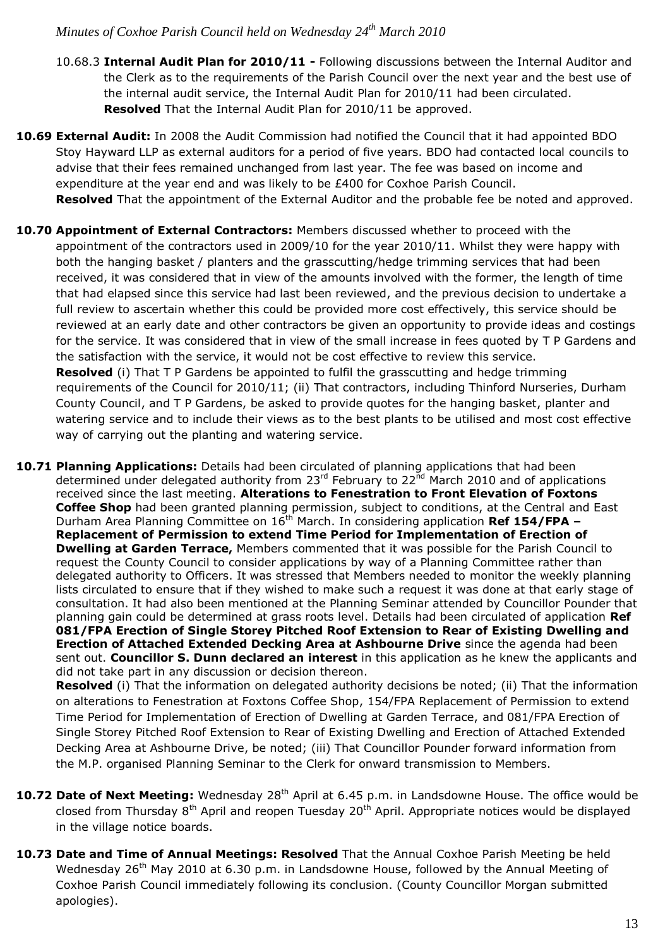- 10.68.3 **Internal Audit Plan for 2010/11 -** Following discussions between the Internal Auditor and the Clerk as to the requirements of the Parish Council over the next year and the best use of the internal audit service, the Internal Audit Plan for 2010/11 had been circulated. **Resolved** That the Internal Audit Plan for 2010/11 be approved.
- **10.69 External Audit:** In 2008 the Audit Commission had notified the Council that it had appointed BDO Stoy Hayward LLP as external auditors for a period of five years. BDO had contacted local councils to advise that their fees remained unchanged from last year. The fee was based on income and expenditure at the year end and was likely to be £400 for Coxhoe Parish Council. **Resolved** That the appointment of the External Auditor and the probable fee be noted and approved.
- **10.70 Appointment of External Contractors:** Members discussed whether to proceed with the appointment of the contractors used in 2009/10 for the year 2010/11. Whilst they were happy with both the hanging basket / planters and the grasscutting/hedge trimming services that had been received, it was considered that in view of the amounts involved with the former, the length of time that had elapsed since this service had last been reviewed, and the previous decision to undertake a full review to ascertain whether this could be provided more cost effectively, this service should be reviewed at an early date and other contractors be given an opportunity to provide ideas and costings for the service. It was considered that in view of the small increase in fees quoted by T P Gardens and the satisfaction with the service, it would not be cost effective to review this service. **Resolved** (i) That T P Gardens be appointed to fulfil the grasscutting and hedge trimming requirements of the Council for 2010/11; (ii) That contractors, including Thinford Nurseries, Durham County Council, and T P Gardens, be asked to provide quotes for the hanging basket, planter and watering service and to include their views as to the best plants to be utilised and most cost effective way of carrying out the planting and watering service.

**10.71 Planning Applications:** Details had been circulated of planning applications that had been determined under delegated authority from 23<sup>rd</sup> February to 22<sup>nd</sup> March 2010 and of applications received since the last meeting. **Alterations to Fenestration to Front Elevation of Foxtons Coffee Shop** had been granted planning permission, subject to conditions, at the Central and East Durham Area Planning Committee on 16th March. In considering application **Ref 154/FPA – Replacement of Permission to extend Time Period for Implementation of Erection of Dwelling at Garden Terrace,** Members commented that it was possible for the Parish Council to request the County Council to consider applications by way of a Planning Committee rather than delegated authority to Officers. It was stressed that Members needed to monitor the weekly planning lists circulated to ensure that if they wished to make such a request it was done at that early stage of consultation. It had also been mentioned at the Planning Seminar attended by Councillor Pounder that planning gain could be determined at grass roots level. Details had been circulated of application **Ref 081/FPA Erection of Single Storey Pitched Roof Extension to Rear of Existing Dwelling and Erection of Attached Extended Decking Area at Ashbourne Drive** since the agenda had been sent out. **Councillor S. Dunn declared an interest** in this application as he knew the applicants and did not take part in any discussion or decision thereon.

**Resolved** (i) That the information on delegated authority decisions be noted; (ii) That the information on alterations to Fenestration at Foxtons Coffee Shop, 154/FPA Replacement of Permission to extend Time Period for Implementation of Erection of Dwelling at Garden Terrace, and 081/FPA Erection of Single Storey Pitched Roof Extension to Rear of Existing Dwelling and Erection of Attached Extended Decking Area at Ashbourne Drive, be noted; (iii) That Councillor Pounder forward information from the M.P. organised Planning Seminar to the Clerk for onward transmission to Members.

- 10.72 Date of Next Meeting: Wednesday 28<sup>th</sup> April at 6.45 p.m. in Landsdowne House. The office would be closed from Thursday  $8<sup>th</sup>$  April and reopen Tuesday 20<sup>th</sup> April. Appropriate notices would be displayed in the village notice boards.
- **10.73 Date and Time of Annual Meetings: Resolved** That the Annual Coxhoe Parish Meeting be held Wednesday 26<sup>th</sup> May 2010 at 6.30 p.m. in Landsdowne House, followed by the Annual Meeting of Coxhoe Parish Council immediately following its conclusion. (County Councillor Morgan submitted apologies).